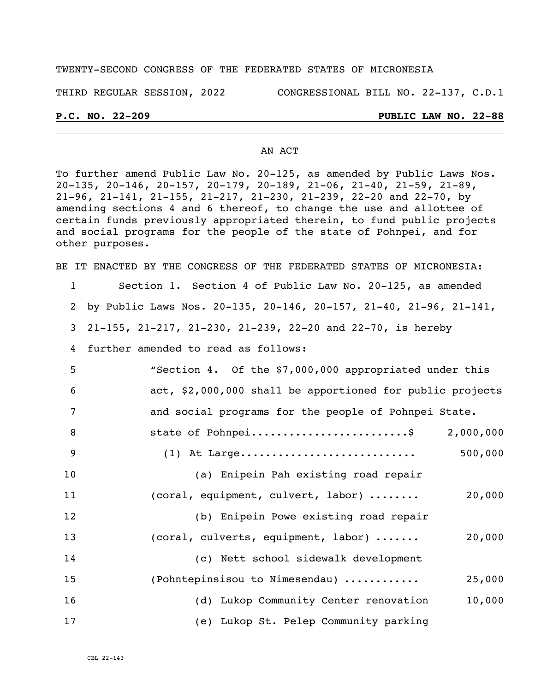#### TWENTY-SECOND CONGRESS OF THE FEDERATED STATES OF MICRONESIA

THIRD REGULAR SESSION, 2022 CONGRESSIONAL BILL NO. 22-137, C.D.1

## **P.C. NO. 22-209 PUBLIC LAW NO. 22-88**

#### AN ACT

To further amend Public Law No. 20-125, as amended by Public Laws Nos. 20-135, 20-146, 20-157, 20-179, 20-189, 21-06, 21-40, 21-59, 21-89, 21-96, 21-141, 21-155, 21-217, 21-230, 21-239, 22-20 and 22-70, by amending sections 4 and 6 thereof, to change the use and allottee of certain funds previously appropriated therein, to fund public projects and social programs for the people of the state of Pohnpei, and for other purposes.

BE IT ENACTED BY THE CONGRESS OF THE FEDERATED STATES OF MICRONESIA:

| 1  | Section 1. Section 4 of Public Law No. 20-125, as amended         |
|----|-------------------------------------------------------------------|
| 2  | by Public Laws Nos. 20-135, 20-146, 20-157, 21-40, 21-96, 21-141, |
| 3  | 21-155, 21-217, 21-230, 21-239, 22-20 and 22-70, is hereby        |
| 4  | further amended to read as follows:                               |
| 5  | "Section 4. Of the \$7,000,000 appropriated under this            |
| 6  | act, \$2,000,000 shall be apportioned for public projects         |
| 7  | and social programs for the people of Pohnpei State.              |
| 8  | state of Pohnpei\$<br>2,000,000                                   |
| 9  | 500,000                                                           |
| 10 | (a) Enipein Pah existing road repair                              |
| 11 | 20,000<br>(coral, equipment, culvert, labor)                      |
| 12 | (b) Enipein Powe existing road repair                             |
| 13 | (coral, culverts, equipment, labor)<br>20,000                     |
| 14 | (c) Nett school sidewalk development                              |
| 15 | (Pohntepinsisou to Nimesendau)<br>25,000                          |
| 16 | (d) Lukop Community Center renovation<br>10,000                   |
| 17 | (e) Lukop St. Pelep Community parking                             |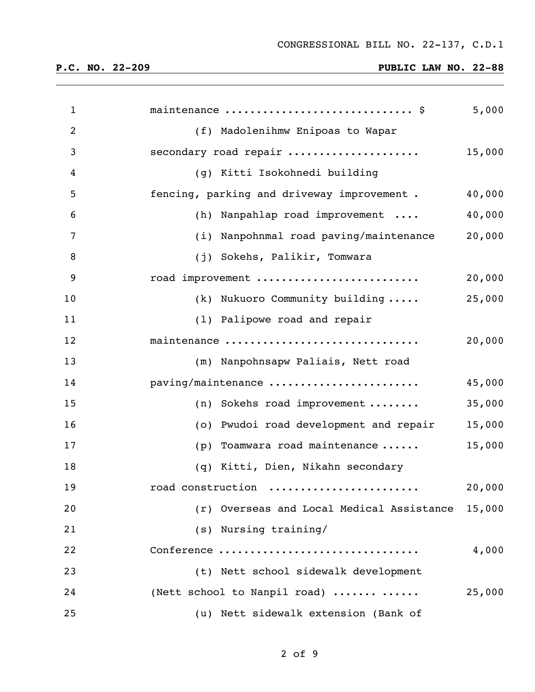| $\mathbf{1}$   | maintenance  \$                                  | 5,000  |
|----------------|--------------------------------------------------|--------|
| $\overline{2}$ | (f) Madolenihmw Enipoas to Wapar                 |        |
| 3              | secondary road repair                            | 15,000 |
| 4              | (g) Kitti Isokohnedi building                    |        |
| 5              | fencing, parking and driveway improvement.       | 40,000 |
| 6              | (h) Nanpahlap road improvement                   | 40,000 |
| 7              | (i) Nanpohnmal road paving/maintenance           | 20,000 |
| $\, 8$         | (j) Sokehs, Palikir, Tomwara                     |        |
| 9              | road improvement                                 | 20,000 |
| 10             | (k) Nukuoro Community building                   | 25,000 |
| 11             | (1) Palipowe road and repair                     |        |
| 12             | maintenance                                      | 20,000 |
| 13             | (m) Nanpohnsapw Paliais, Nett road               |        |
| 14             | paving/maintenance                               | 45,000 |
| 15             | $(n)$ Sokehs road improvement                    | 35,000 |
| 16             | (o) Pwudoi road development and repair           | 15,000 |
| 17             | Toamwara road maintenance<br>(p)                 | 15,000 |
| 18             | (q) Kitti, Dien, Nikahn secondary                |        |
| 19             | road construction                                | 20,000 |
| 20             | (r) Overseas and Local Medical Assistance 15,000 |        |
| 21             | (s) Nursing training/                            |        |
| 22             | Conference                                       | 4,000  |
| 23             | (t) Nett school sidewalk development             |        |
| 24             | (Nett school to Nanpil road)                     | 25,000 |
| 25             | (u) Nett sidewalk extension (Bank of             |        |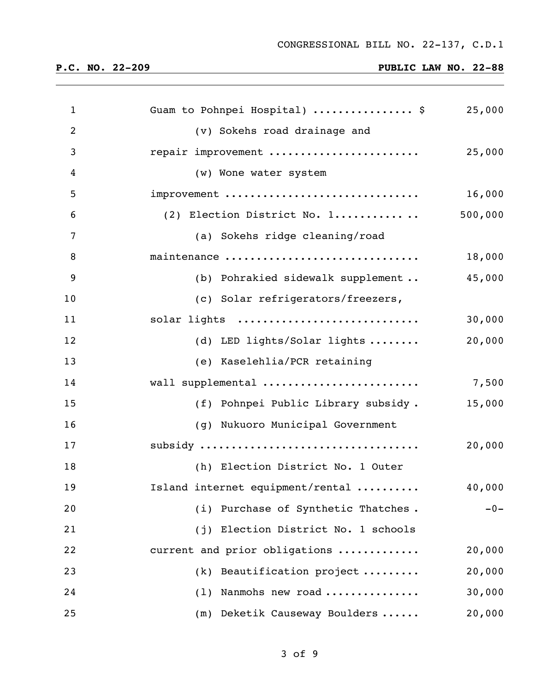| $\mathbf{1}$   | Guam to Pohnpei Hospital)  \$          | 25,000  |
|----------------|----------------------------------------|---------|
| $\overline{2}$ | (v) Sokehs road drainage and           |         |
| 3              | repair improvement                     | 25,000  |
| 4              | (w) Wone water system                  |         |
| 5              | improvement                            | 16,000  |
| 6              | (2) Election District No. 1            | 500,000 |
| 7              | (a) Sokehs ridge cleaning/road         |         |
| 8              | maintenance                            | 18,000  |
| 9              | (b) Pohrakied sidewalk supplement      | 45,000  |
| 10             | (c) Solar refrigerators/freezers,      |         |
| 11             | solar lights                           | 30,000  |
| 12             | (d) LED lights/Solar lights            | 20,000  |
| 13             | (e) Kaselehlia/PCR retaining           |         |
| 14             | wall supplemental                      | 7,500   |
| 15             | (f) Pohnpei Public Library subsidy.    | 15,000  |
| 16             | (g) Nukuoro Municipal Government       |         |
| 17             |                                        | 20,000  |
| 18             | (h) Election District No. 1 Outer      |         |
| 19             | Island internet equipment/rental       | 40,000  |
| 20             | (i) Purchase of Synthetic Thatches.    | $-0-$   |
| 21             | Election District No. 1 schools<br>(i) |         |
| 22             | current and prior obligations          | 20,000  |
| 23             | Beautification project<br>(k)          | 20,000  |
| 24             | Nanmohs new road<br>(1)                | 30,000  |
| 25             | (m) Deketik Causeway Boulders          | 20,000  |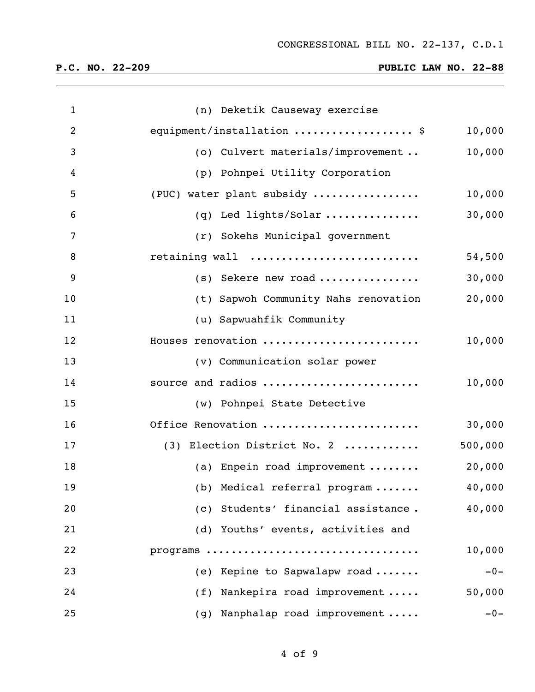| $\mathbf{1}$   | (n) Deketik Causeway exercise        |         |
|----------------|--------------------------------------|---------|
| $\overline{2}$ | equipment/installation  \$           | 10,000  |
| 3              | (o) Culvert materials/improvement    | 10,000  |
| 4              | (p) Pohnpei Utility Corporation      |         |
| 5              | (PUC) water plant subsidy            | 10,000  |
| 6              | (q) Led lights/Solar                 | 30,000  |
| 7              | (r) Sokehs Municipal government      |         |
| 8              | retaining wall                       | 54,500  |
| 9              | $(s)$ Sekere new road                | 30,000  |
| 10             | (t) Sapwoh Community Nahs renovation | 20,000  |
| 11             | (u) Sapwuahfik Community             |         |
| 12             | Houses renovation                    | 10,000  |
| 13             | (v) Communication solar power        |         |
| 14             | source and radios                    | 10,000  |
| 15             | (w) Pohnpei State Detective          |         |
| 16             | Office Renovation                    | 30,000  |
| 17             | (3) Election District No. 2          | 500,000 |
| 18             | (a) Enpein road improvement          | 20,000  |
| 19             | (b) Medical referral program         | 40,000  |
| 20             | (c) Students' financial assistance.  | 40,000  |
| 21             | (d) Youths' events, activities and   |         |
| 22             | programs                             | 10,000  |
| 23             | (e) Kepine to Sapwalapw road         | $-0-$   |
| 24             | (f) Nankepira road improvement       | 50,000  |
| 25             | (g) Nanphalap road improvement       | $-0-$   |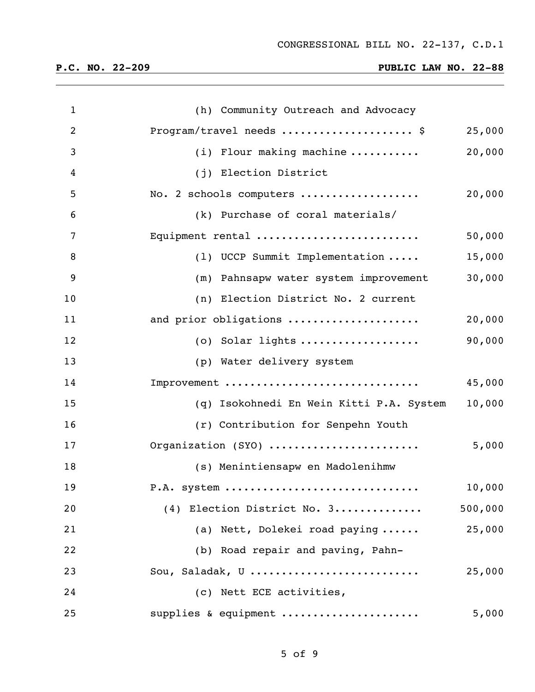| $\mathbf{1}$   | (h) Community Outreach and Advocacy                |
|----------------|----------------------------------------------------|
| $\overline{2}$ | Program/travel needs  \$<br>25,000                 |
| 3              | 20,000<br>$(i)$ Flour making machine               |
| 4              | (j) Election District                              |
| 5              | 20,000<br>No. 2 schools computers                  |
| 6              | (k) Purchase of coral materials/                   |
| 7              | Equipment rental<br>50,000                         |
| 8              | 15,000<br>(1) UCCP Summit Implementation           |
| 9              | 30,000<br>(m) Pahnsapw water system improvement    |
| 10             | (n) Election District No. 2 current                |
| 11             | 20,000<br>and prior obligations                    |
| 12             | 90,000<br>$(0)$ Solar lights                       |
| 13             | (p) Water delivery system                          |
| 14             | Improvement<br>45,000                              |
| 15             | 10,000<br>(q) Isokohnedi En Wein Kitti P.A. System |
| 16             | (r) Contribution for Senpehn Youth                 |
| 17             | Organization (SYO)<br>5,000                        |
| 18             | (s) Menintiensapw en Madolenihmw                   |
| 19             | 10,000<br>P.A. system                              |
| 20             | 500,000<br>(4) Election District No. 3             |
| 21             | (a) Nett, Dolekei road paying<br>25,000            |
| 22             | (b) Road repair and paving, Pahn-                  |
| 23             | Sou, Saladak, U<br>25,000                          |
| 24             | (c) Nett ECE activities,                           |
| 25             | supplies & equipment<br>5,000                      |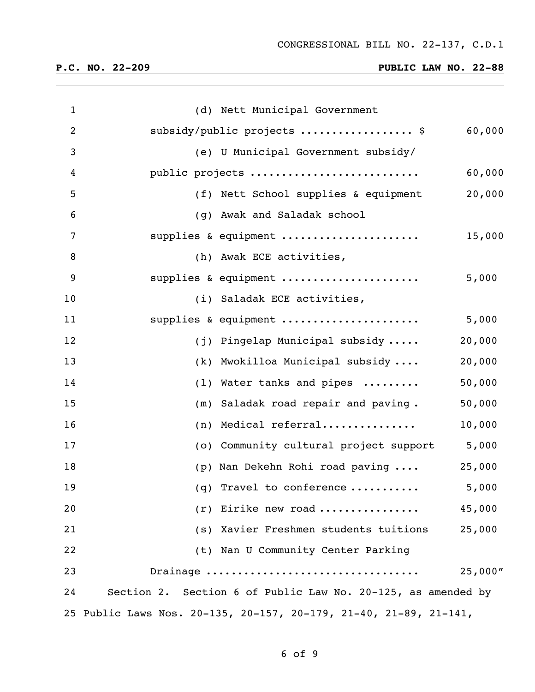| $\mathbf 1$    |     | (d) Nett Municipal Government                                     |         |
|----------------|-----|-------------------------------------------------------------------|---------|
| $\overline{2}$ |     | subsidy/public projects  \$                                       | 60,000  |
| 3              |     | (e) U Municipal Government subsidy/                               |         |
| 4              |     | public projects                                                   | 60,000  |
| 5              |     | (f) Nett School supplies & equipment                              | 20,000  |
| 6              |     | (g) Awak and Saladak school                                       |         |
| 7              |     | supplies & equipment                                              | 15,000  |
| 8              |     | (h) Awak ECE activities,                                          |         |
| 9              |     | supplies & equipment                                              | 5,000   |
| 10             |     | (i) Saladak ECE activities,                                       |         |
| 11             |     | supplies & equipment                                              | 5,000   |
| 12             |     | (j) Pingelap Municipal subsidy                                    | 20,000  |
| 13             |     | (k) Mwokilloa Municipal subsidy                                   | 20,000  |
| 14             |     | (1) Water tanks and pipes                                         | 50,000  |
| 15             | (m) | Saladak road repair and paving.                                   | 50,000  |
| 16             | (n) | Medical referral                                                  | 10,000  |
| 17             | (0) | Community cultural project support                                | 5,000   |
| 18             |     | (p) Nan Dekehn Rohi road paving                                   | 25,000  |
| 19             |     | (q) Travel to conference                                          | 5,000   |
| 20             |     | $(r)$ Eirike new road                                             | 45,000  |
| 21             |     | (s) Xavier Freshmen students tuitions                             | 25,000  |
| 22             |     | (t) Nan U Community Center Parking                                |         |
| 23             |     | Drainage                                                          | 25,000" |
| 24             |     | Section 2. Section 6 of Public Law No. 20-125, as amended by      |         |
|                |     | 25 Public Laws Nos. 20-135, 20-157, 20-179, 21-40, 21-89, 21-141, |         |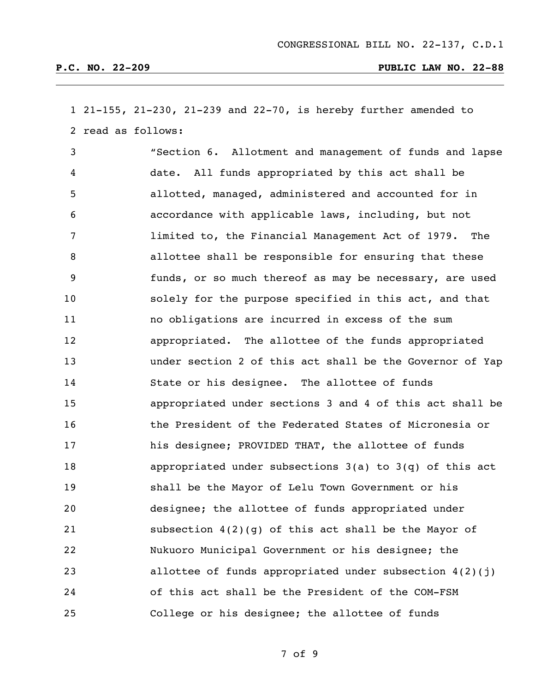21-155, 21-230, 21-239 and 22-70, is hereby further amended to read as follows:

 "Section 6. Allotment and management of funds and lapse date. All funds appropriated by this act shall be allotted, managed, administered and accounted for in accordance with applicable laws, including, but not limited to, the Financial Management Act of 1979. The allottee shall be responsible for ensuring that these funds, or so much thereof as may be necessary, are used solely for the purpose specified in this act, and that no obligations are incurred in excess of the sum appropriated. The allottee of the funds appropriated under section 2 of this act shall be the Governor of Yap State or his designee. The allottee of funds appropriated under sections 3 and 4 of this act shall be the President of the Federated States of Micronesia or his designee; PROVIDED THAT, the allottee of funds appropriated under subsections 3(a) to 3(q) of this act shall be the Mayor of Lelu Town Government or his designee; the allottee of funds appropriated under subsection 4(2)(g) of this act shall be the Mayor of Nukuoro Municipal Government or his designee; the allottee of funds appropriated under subsection 4(2)(j) of this act shall be the President of the COM-FSM College or his designee; the allottee of funds

of 9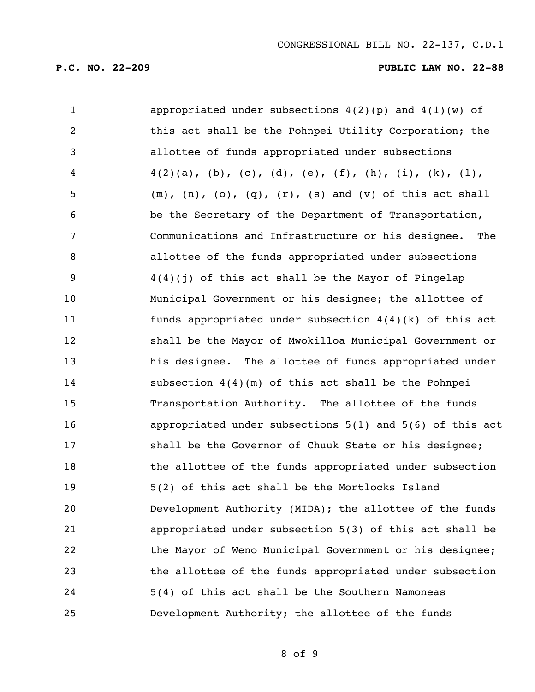| $\mathbf{1}$   | appropriated under subsections $4(2)(p)$ and $4(1)(w)$ of                 |
|----------------|---------------------------------------------------------------------------|
| $\overline{2}$ | this act shall be the Pohnpei Utility Corporation; the                    |
| 3              | allottee of funds appropriated under subsections                          |
| $\overline{4}$ | $4(2)(a)$ , (b), (c), (d), (e), (f), (h), (i), (k), (l),                  |
| 5              | $(m)$ , $(n)$ , $(o)$ , $(q)$ , $(r)$ , $(s)$ and $(v)$ of this act shall |
| 6              | be the Secretary of the Department of Transportation,                     |
| 7              | Communications and Infrastructure or his designee. The                    |
| 8              | allottee of the funds appropriated under subsections                      |
| 9              | $4(4)(j)$ of this act shall be the Mayor of Pingelap                      |
| 10             | Municipal Government or his designee; the allottee of                     |
| 11             | funds appropriated under subsection $4(4)(k)$ of this act                 |
| 12             | shall be the Mayor of Mwokilloa Municipal Government or                   |
| 13             | his designee. The allottee of funds appropriated under                    |
| 14             | subsection $4(4)(m)$ of this act shall be the Pohnpei                     |
| 15             | Transportation Authority. The allottee of the funds                       |
| 16             | appropriated under subsections $5(1)$ and $5(6)$ of this act              |
| 17             | shall be the Governor of Chuuk State or his designee;                     |
| 18             | the allottee of the funds appropriated under subsection                   |
| 19             | 5(2) of this act shall be the Mortlocks Island                            |
| 20             | Development Authority (MIDA); the allottee of the funds                   |
| 21             | appropriated under subsection 5(3) of this act shall be                   |
| 22             | the Mayor of Weno Municipal Government or his designee;                   |
| 23             | the allottee of the funds appropriated under subsection                   |
| 24             | 5(4) of this act shall be the Southern Namoneas                           |
| 25             | Development Authority; the allottee of the funds                          |